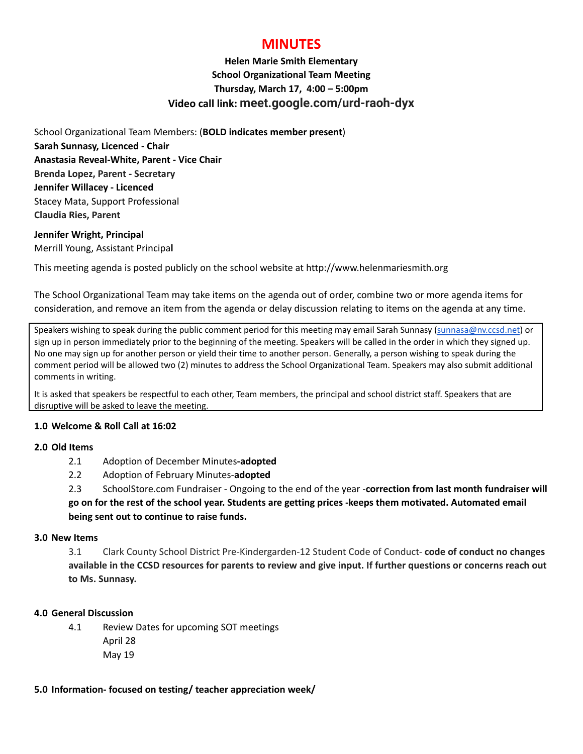# **MINUTES**

## **Helen Marie Smith Elementary School Organizational Team Meeting Thursday, March 17, 4:00 – 5:00pm Video call link: meet.google.com/urd-raoh-dyx**

School Organizational Team Members: (**BOLD indicates member present**) **Sarah Sunnasy, Licenced - Chair Anastasia Reveal-White, Parent - Vice Chair Brenda Lopez, Parent - Secretary Jennifer Willacey - Licenced** Stacey Mata, Support Professional **Claudia Ries, Parent**

#### **Jennifer Wright, Principal** Merrill Young, Assistant Principa**l**

This meeting agenda is posted publicly on the school website at http://www.helenmariesmith.org

The School Organizational Team may take items on the agenda out of order, combine two or more agenda items for consideration, and remove an item from the agenda or delay discussion relating to items on the agenda at any time.

Speakers wishing to speak during the public comment period for this meeting may email Sarah Sunnasy [\(sunnasa@nv.ccsd.net](mailto:sunnasa@nv.ccsd.net)) or sign up in person immediately prior to the beginning of the meeting. Speakers will be called in the order in which they signed up. No one may sign up for another person or yield their time to another person. Generally, a person wishing to speak during the comment period will be allowed two (2) minutes to address the School Organizational Team. Speakers may also submit additional comments in writing.

It is asked that speakers be respectful to each other, Team members, the principal and school district staff. Speakers that are disruptive will be asked to leave the meeting.

### **1.0 Welcome & Roll Call at 16:02**

#### **2.0 Old Items**

- 2.1 Adoption of December Minutes**-adopted**
- 2.2 Adoption of February Minutes-**adopted**

2.3 SchoolStore.com Fundraiser - Ongoing to the end of the year -**correction from last month fundraiser will** go on for the rest of the school year. Students are getting prices -keeps them motivated. Automated email **being sent out to continue to raise funds.**

#### **3.0 New Items**

3.1 Clark County School District Pre-Kindergarden-12 Student Code of Conduct- **code of conduct no changes** available in the CCSD resources for parents to review and give input. If further questions or concerns reach out **to Ms. Sunnasy.**

#### **4.0 General Discussion**

4.1 Review Dates for upcoming SOT meetings April 28 May 19

#### **5.0 Information- focused on testing/ teacher appreciation week/**